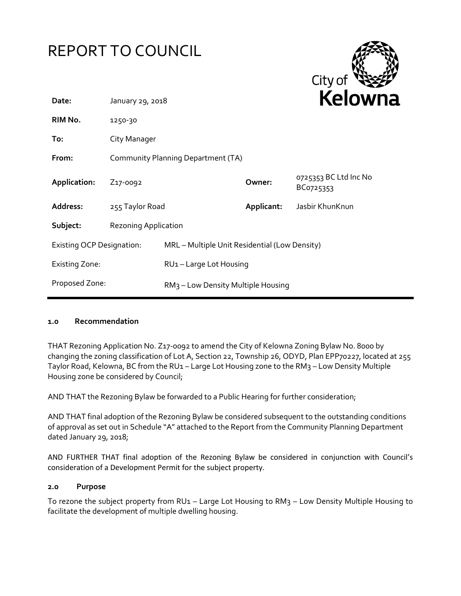



| Date:                            | January 29, 2018                   |                                                |            | <b>NEIUWH</b>                      |
|----------------------------------|------------------------------------|------------------------------------------------|------------|------------------------------------|
| RIM No.                          | 1250-30                            |                                                |            |                                    |
| To:                              | City Manager                       |                                                |            |                                    |
| From:                            | Community Planning Department (TA) |                                                |            |                                    |
| Application:                     | Z <sub>17</sub> -0092              |                                                | Owner:     | 0725353 BC Ltd Inc No<br>BC0725353 |
| Address:                         | 255 Taylor Road                    |                                                | Applicant: | Jasbir KhunKnun                    |
| Subject:                         | <b>Rezoning Application</b>        |                                                |            |                                    |
| <b>Existing OCP Designation:</b> |                                    | MRL - Multiple Unit Residential (Low Density)  |            |                                    |
| <b>Existing Zone:</b>            |                                    | RU1-Large Lot Housing                          |            |                                    |
| Proposed Zone:                   |                                    | RM <sub>3</sub> - Low Density Multiple Housing |            |                                    |
|                                  |                                    |                                                |            |                                    |

### **1.0 Recommendation**

THAT Rezoning Application No. Z17-0092 to amend the City of Kelowna Zoning Bylaw No. 8000 by changing the zoning classification of Lot A, Section 22, Township 26, ODYD, Plan EPP70227, located at 255 Taylor Road, Kelowna, BC from the RU1 – Large Lot Housing zone to the RM3 – Low Density Multiple Housing zone be considered by Council;

AND THAT the Rezoning Bylaw be forwarded to a Public Hearing for further consideration;

AND THAT final adoption of the Rezoning Bylaw be considered subsequent to the outstanding conditions of approval as set out in Schedule "A" attached to the Report from the Community Planning Department dated January 29, 2018;

AND FURTHER THAT final adoption of the Rezoning Bylaw be considered in conjunction with Council's consideration of a Development Permit for the subject property.

#### **2.0 Purpose**

To rezone the subject property from RU1 – Large Lot Housing to RM3 – Low Density Multiple Housing to facilitate the development of multiple dwelling housing.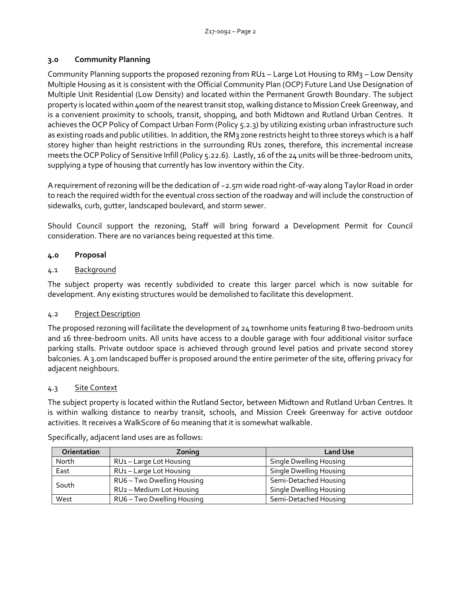## **3.0 Community Planning**

Community Planning supports the proposed rezoning from RU1 – Large Lot Housing to RM3 – Low Density Multiple Housing as it is consistent with the Official Community Plan (OCP) Future Land Use Designation of Multiple Unit Residential (Low Density) and located within the Permanent Growth Boundary. The subject property is located within 400m of the nearest transit stop, walking distance to Mission Creek Greenway, and is a convenient proximity to schools, transit, shopping, and both Midtown and Rutland Urban Centres. It achieves the OCP Policy of Compact Urban Form (Policy 5.2.3) by utilizing existing urban infrastructure such as existing roads and public utilities. In addition, the RM3 zone restricts height to three storeys which is a half storey higher than height restrictions in the surrounding RU1 zones, therefore, this incremental increase meets the OCP Policy of Sensitive Infill (Policy 5.22.6). Lastly, 16 of the 24 units will be three-bedroom units, supplying a type of housing that currently has low inventory within the City.

A requirement of rezoning will be the dedication of ~2.5m wide road right-of-way along Taylor Road in order to reach the required width for the eventual cross section of the roadway and will include the construction of sidewalks, curb, gutter, landscaped boulevard, and storm sewer.

Should Council support the rezoning, Staff will bring forward a Development Permit for Council consideration. There are no variances being requested at this time.

# **4.0 Proposal**

# 4.1 Background

The subject property was recently subdivided to create this larger parcel which is now suitable for development. Any existing structures would be demolished to facilitate this development.

# 4.2 Project Description

The proposed rezoning will facilitate the development of 24 townhome units featuring 8 two-bedroom units and 16 three-bedroom units. All units have access to a double garage with four additional visitor surface parking stalls. Private outdoor space is achieved through ground level patios and private second storey balconies. A 3.0m landscaped buffer is proposed around the entire perimeter of the site, offering privacy for adjacent neighbours.

# 4.3 Site Context

The subject property is located within the Rutland Sector, between Midtown and Rutland Urban Centres. It is within walking distance to nearby transit, schools, and Mission Creek Greenway for active outdoor activities. It receives a WalkScore of 60 meaning that it is somewhat walkable.

| <b>Orientation</b> | Zoning                               | <b>Land Use</b>         |
|--------------------|--------------------------------------|-------------------------|
| North              | RU1-Large Lot Housing                | Single Dwelling Housing |
| East               | RU1-Large Lot Housing                | Single Dwelling Housing |
| South              | RU6 - Two Dwelling Housing           | Semi-Detached Housing   |
|                    | RU <sub>2</sub> - Medium Lot Housing | Single Dwelling Housing |
| West               | RU6 - Two Dwelling Housing           | Semi-Detached Housing   |

Specifically, adjacent land uses are as follows: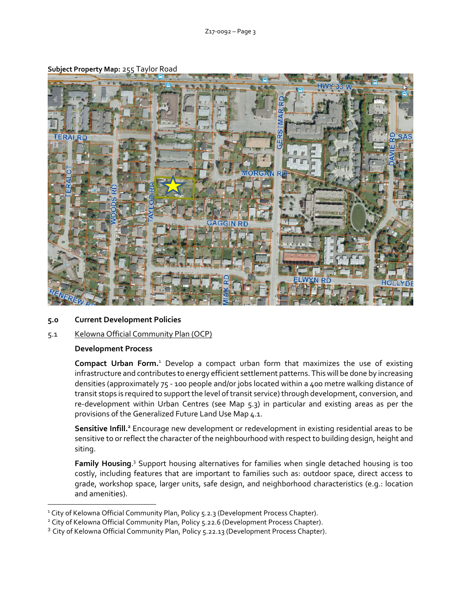

#### **Subject Property Map:** 255 Taylor Road

### **5.0 Current Development Policies**

### 5.1 Kelowna Official Community Plan (OCP)

#### **Development Process**

-

**Compact Urban Form.**<sup>1</sup> Develop a compact urban form that maximizes the use of existing infrastructure and contributes to energy efficient settlement patterns. This will be done by increasing densities (approximately 75 - 100 people and/or jobs located within a 400 metre walking distance of transit stops is required to support the level of transit service) through development, conversion, and re-development within Urban Centres (see Map 5.3) in particular and existing areas as per the provisions of the Generalized Future Land Use Map 4.1.

**Sensitive Infill.<sup>2</sup>** Encourage new development or redevelopment in existing residential areas to be sensitive to or reflect the character of the neighbourhood with respect to building design, height and siting.

Family Housing.<sup>3</sup> Support housing alternatives for families when single detached housing is too costly, including features that are important to families such as: outdoor space, direct access to grade, workshop space, larger units, safe design, and neighborhood characteristics (e.g.: location and amenities).

<sup>&</sup>lt;sup>1</sup> City of Kelowna Official Community Plan, Policy 5.2.3 (Development Process Chapter).

<sup>&</sup>lt;sup>2</sup> City of Kelowna Official Community Plan, Policy 5.22.6 (Development Process Chapter).

<sup>&</sup>lt;sup>3</sup> City of Kelowna Official Community Plan, Policy 5.22.13 (Development Process Chapter).